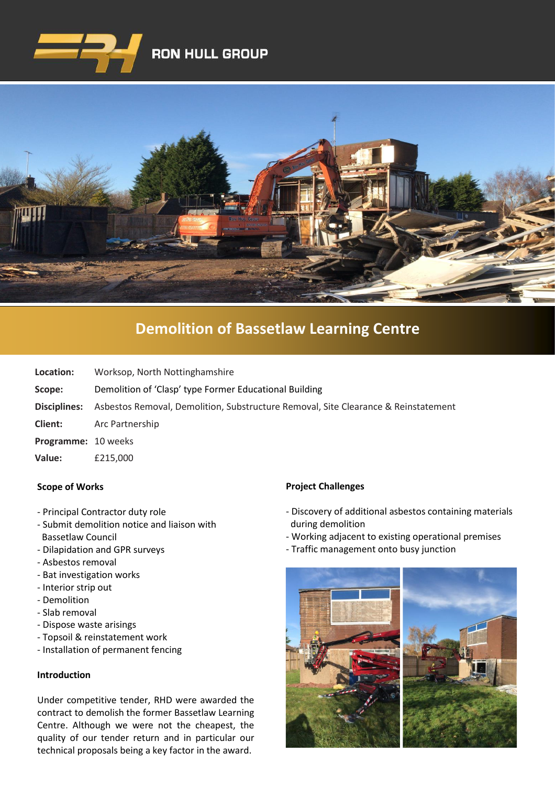



# **[Demolition of Bassetlaw Learning Centre](https://www.google.co.uk/imgres?imgurl=http%3A%2F%2Fwww.clenergy.co.uk%2FImageGen.ashx%3Fimage%3D%2Fmedia%2F1044%2Fcredit-solutia-2009-looking-south-4mb.jpg%26width%3D568%26height%3D320&imgrefurl=http%3A%2F%2Fwww.clenergy.co.uk%2Fprojects%2Fsolutia%2F&docid=l4QIaOP_OnRHZM&tbnid=A2rf481aMiEi8M%3A&vet=10ahUKEwie4JWq6srkAhX6SxUIHaTaDYwQMwg_KAEwAQ..i&w=568&h=320&bih=575&biw=1280&q=eastman%20chemical%20plant%20newport%20wales&ved=0ahUKEwie4JWq6srkAhX6SxUIHaTaDYwQMwg_KAEwAQ&iact=mrc&uact=8)**

**Location:** Worksop, North Nottinghamshire

**Scope:** Demolition of 'Clasp' type Former Educational Building

**Disciplines:** Asbestos Removal, Demolition, Substructure Removal, Site Clearance & Reinstatement

- **Client:** Arc Partnership
- **Programme:** 10 weeks
- **Value:** £215,000

### **Scope of Works**

- Principal Contractor duty role
- Submit demolition notice and liaison with Bassetlaw Council
- Dilapidation and GPR surveys
- Asbestos removal
- Bat investigation works
- Interior strip out
- Demolition
- Slab removal
- Dispose waste arisings
- Topsoil & reinstatement work
- Installation of permanent fencing

## **Introduction**

Under competitive tender, RHD were awarded the contract to demolish the former Bassetlaw Learning Centre. Although we were not the cheapest, the quality of our tender return and in particular our technical proposals being a key factor in the award.

### **Project Challenges**

- Discovery of additional asbestos containing materials during demolition
- Working adjacent to existing operational premises
- Traffic management onto busy junction